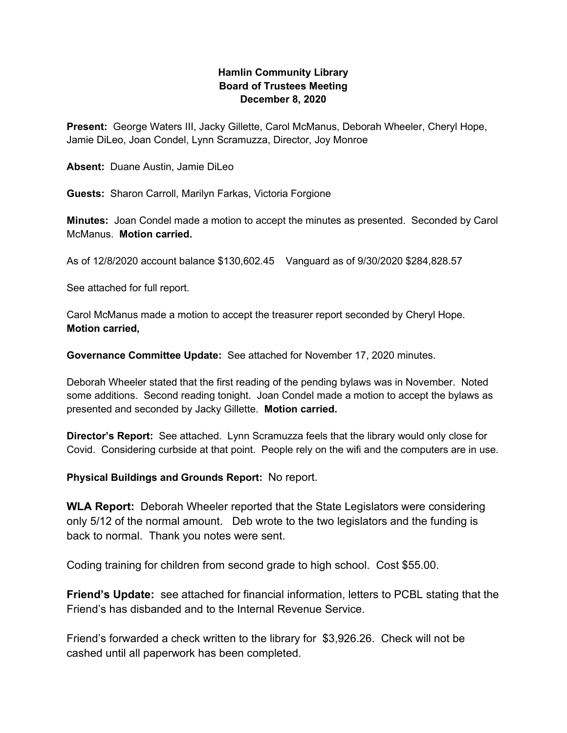## **Hamlin Community Library Board of Trustees Meeting December 8, 2020**

**Present:** George Waters III, Jacky Gillette, Carol McManus, Deborah Wheeler, Cheryl Hope, Jamie DiLeo, Joan Condel, Lynn Scramuzza, Director, Joy Monroe

**Absent:** Duane Austin, Jamie DiLeo

**Guests:** Sharon Carroll, Marilyn Farkas, Victoria Forgione

**Minutes:** Joan Condel made a motion to accept the minutes as presented. Seconded by Carol McManus. **Motion carried.**

As of 12/8/2020 account balance \$130,602.45 Vanguard as of 9/30/2020 \$284,828.57

See attached for full report.

Carol McManus made a motion to accept the treasurer report seconded by Cheryl Hope. **Motion carried,**

**Governance Committee Update:** See attached for November 17, 2020 minutes.

Deborah Wheeler stated that the first reading of the pending bylaws was in November. Noted some additions. Second reading tonight. Joan Condel made a motion to accept the bylaws as presented and seconded by Jacky Gillette. **Motion carried.**

**Director's Report:** See attached. Lynn Scramuzza feels that the library would only close for Covid. Considering curbside at that point. People rely on the wifi and the computers are in use.

**Physical Buildings and Grounds Report:** No report.

**WLA Report:** Deborah Wheeler reported that the State Legislators were considering only 5/12 of the normal amount. Deb wrote to the two legislators and the funding is back to normal. Thank you notes were sent.

Coding training for children from second grade to high school. Cost \$55.00.

**Friend's Update:** see attached for financial information, letters to PCBL stating that the Friend's has disbanded and to the Internal Revenue Service.

Friend's forwarded a check written to the library for \$3,926.26. Check will not be cashed until all paperwork has been completed.